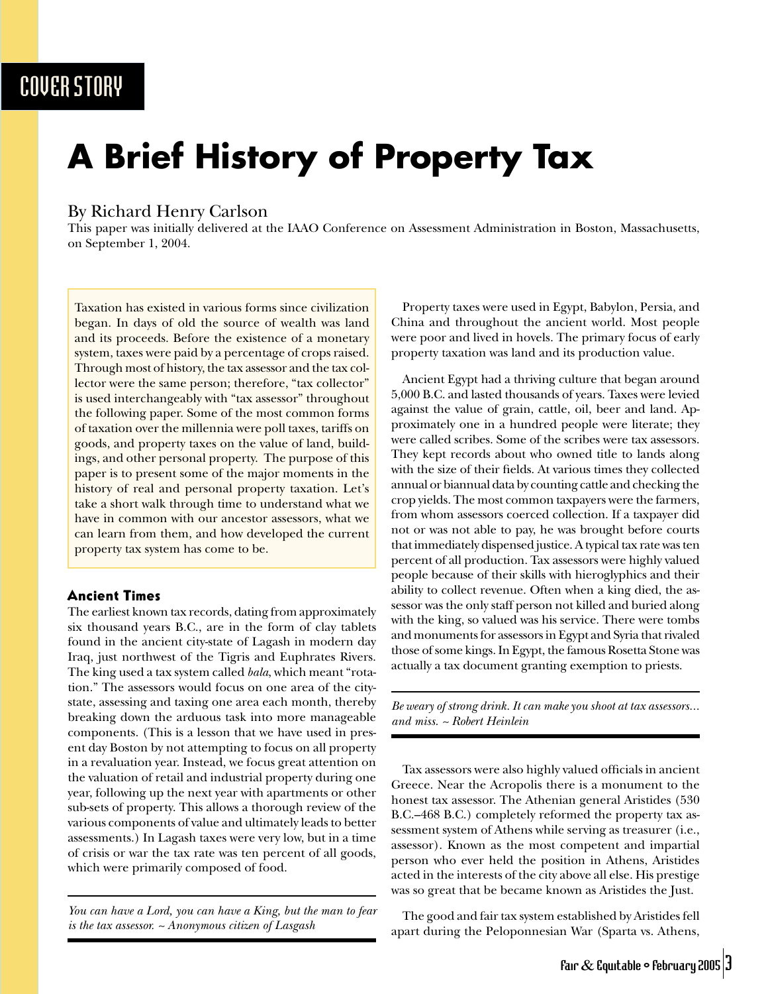### COVER STORY

# **A Brief History of Property Tax**

#### By Richard Henry Carlson

This paper was initially delivered at the IAAO Conference on Assessment Administration in Boston, Massachusetts, on September 1, 2004.

Taxation has existed in various forms since civilization began. In days of old the source of wealth was land and its proceeds. Before the existence of a monetary system, taxes were paid by a percentage of crops raised. Through most of history, the tax assessor and the tax collector were the same person; therefore, "tax collector" is used interchangeably with "tax assessor" throughout the following paper. Some of the most common forms of taxation over the millennia were poll taxes, tariffs on goods, and property taxes on the value of land, buildings, and other personal property. The purpose of this paper is to present some of the major moments in the history of real and personal property taxation. Let's take a short walk through time to understand what we have in common with our ancestor assessors, what we can learn from them, and how developed the current property tax system has come to be.

#### Ancient Times

The earliest known tax records, dating from approximately six thousand years B.C., are in the form of clay tablets found in the ancient city-state of Lagash in modern day Iraq, just northwest of the Tigris and Euphrates Rivers. The king used a tax system called *bala*, which meant "rotation." The assessors would focus on one area of the citystate, assessing and taxing one area each month, thereby breaking down the arduous task into more manageable components. (This is a lesson that we have used in present day Boston by not attempting to focus on all property in a revaluation year. Instead, we focus great attention on the valuation of retail and industrial property during one year, following up the next year with apartments or other sub-sets of property. This allows a thorough review of the various components of value and ultimately leads to better assessments.) In Lagash taxes were very low, but in a time of crisis or war the tax rate was ten percent of all goods, which were primarily composed of food.

*You can have a Lord, you can have a King, but the man to fear is the tax assessor. ~ Anonymous citizen of Lasgash*

Property taxes were used in Egypt, Babylon, Persia, and China and throughout the ancient world. Most people were poor and lived in hovels. The primary focus of early property taxation was land and its production value.

Ancient Egypt had a thriving culture that began around 5,000 B.C. and lasted thousands of years. Taxes were levied against the value of grain, cattle, oil, beer and land. Approximately one in a hundred people were literate; they were called scribes. Some of the scribes were tax assessors. They kept records about who owned title to lands along with the size of their fields. At various times they collected annual or biannual data by counting cattle and checking the crop yields. The most common taxpayers were the farmers, from whom assessors coerced collection. If a taxpayer did not or was not able to pay, he was brought before courts that immediately dispensed justice. A typical tax rate was ten percent of all production. Tax assessors were highly valued people because of their skills with hieroglyphics and their ability to collect revenue. Often when a king died, the assessor was the only staff person not killed and buried along with the king, so valued was his service. There were tombs and monuments for assessors in Egypt and Syria that rivaled those of some kings. In Egypt, the famous Rosetta Stone was actually a tax document granting exemption to priests.

*Be weary of strong drink. It can make you shoot at tax assessors... and miss. ~ Robert Heinlein*

Tax assessors were also highly valued officials in ancient Greece. Near the Acropolis there is a monument to the honest tax assessor. The Athenian general Aristides (530 B.C.–468 B.C.) completely reformed the property tax assessment system of Athens while serving as treasurer (i.e., assessor). Known as the most competent and impartial person who ever held the position in Athens, Aristides acted in the interests of the city above all else. His prestige was so great that be became known as Aristides the Just.

The good and fair tax system established by Aristides fell apart during the Peloponnesian War (Sparta vs. Athens,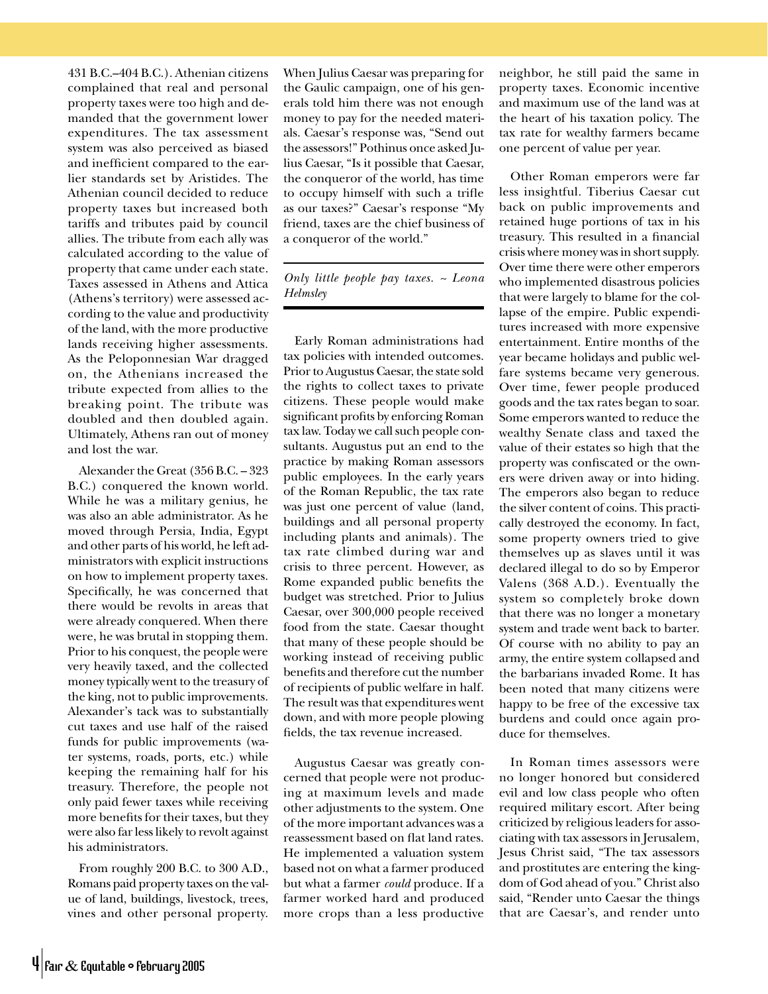431 B.C.–404 B.C.). Athenian citizens complained that real and personal property taxes were too high and demanded that the government lower expenditures. The tax assessment system was also perceived as biased and inefficient compared to the earlier standards set by Aristides. The Athenian council decided to reduce property taxes but increased both tariffs and tributes paid by council allies. The tribute from each ally was calculated according to the value of property that came under each state. Taxes assessed in Athens and Attica (Athens's territory) were assessed according to the value and productivity of the land, with the more productive lands receiving higher assessments. As the Peloponnesian War dragged on, the Athenians increased the tribute expected from allies to the breaking point. The tribute was doubled and then doubled again. Ultimately, Athens ran out of money and lost the war.

Alexander the Great (356 B.C. – 323 B.C.) conquered the known world. While he was a military genius, he was also an able administrator. As he moved through Persia, India, Egypt and other parts of his world, he left administrators with explicit instructions on how to implement property taxes. Specifically, he was concerned that there would be revolts in areas that were already conquered. When there were, he was brutal in stopping them. Prior to his conquest, the people were very heavily taxed, and the collected money typically went to the treasury of the king, not to public improvements. Alexander's tack was to substantially cut taxes and use half of the raised funds for public improvements (water systems, roads, ports, etc.) while keeping the remaining half for his treasury. Therefore, the people not only paid fewer taxes while receiving more benefits for their taxes, but they were also far less likely to revolt against his administrators.

From roughly 200 B.C. to 300 A.D., Romans paid property taxes on the value of land, buildings, livestock, trees, vines and other personal property.

When Julius Caesar was preparing for the Gaulic campaign, one of his generals told him there was not enough money to pay for the needed materials. Caesar's response was, "Send out the assessors!" Pothinus once asked Julius Caesar, "Is it possible that Caesar, the conqueror of the world, has time to occupy himself with such a trifle as our taxes?" Caesar's response "My friend, taxes are the chief business of a conqueror of the world."

*Only little people pay taxes. ~ Leona Helmsley*

Early Roman administrations had tax policies with intended outcomes. Prior to Augustus Caesar, the state sold the rights to collect taxes to private citizens. These people would make significant profits by enforcing Roman tax law. Today we call such people consultants. Augustus put an end to the practice by making Roman assessors public employees. In the early years of the Roman Republic, the tax rate was just one percent of value (land, buildings and all personal property including plants and animals). The tax rate climbed during war and crisis to three percent. However, as Rome expanded public benefits the budget was stretched. Prior to Julius Caesar, over 300,000 people received food from the state. Caesar thought that many of these people should be working instead of receiving public benefits and therefore cut the number of recipients of public welfare in half. The result was that expenditures went down, and with more people plowing fields, the tax revenue increased.

Augustus Caesar was greatly concerned that people were not producing at maximum levels and made other adjustments to the system. One of the more important advances was a reassessment based on flat land rates. He implemented a valuation system based not on what a farmer produced but what a farmer *could* produce. If a farmer worked hard and produced more crops than a less productive neighbor, he still paid the same in property taxes. Economic incentive and maximum use of the land was at the heart of his taxation policy. The tax rate for wealthy farmers became one percent of value per year.

Other Roman emperors were far less insightful. Tiberius Caesar cut back on public improvements and retained huge portions of tax in his treasury. This resulted in a financial crisis where money was in short supply. Over time there were other emperors who implemented disastrous policies that were largely to blame for the collapse of the empire. Public expenditures increased with more expensive entertainment. Entire months of the year became holidays and public welfare systems became very generous. Over time, fewer people produced goods and the tax rates began to soar. Some emperors wanted to reduce the wealthy Senate class and taxed the value of their estates so high that the property was confiscated or the owners were driven away or into hiding. The emperors also began to reduce the silver content of coins. This practically destroyed the economy. In fact, some property owners tried to give themselves up as slaves until it was declared illegal to do so by Emperor Valens (368 A.D.). Eventually the system so completely broke down that there was no longer a monetary system and trade went back to barter. Of course with no ability to pay an army, the entire system collapsed and the barbarians invaded Rome. It has been noted that many citizens were happy to be free of the excessive tax burdens and could once again produce for themselves.

In Roman times assessors were no longer honored but considered evil and low class people who often required military escort. After being criticized by religious leaders for associating with tax assessors in Jerusalem, Jesus Christ said, "The tax assessors and prostitutes are entering the kingdom of God ahead of you." Christ also said, "Render unto Caesar the things that are Caesar's, and render unto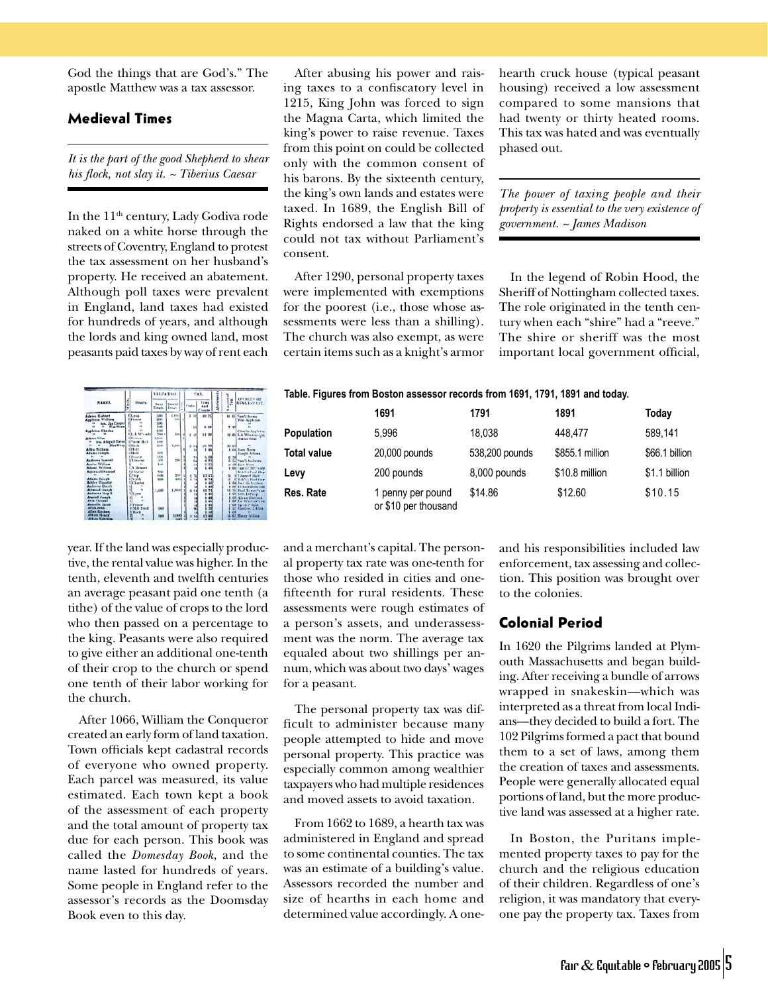God the things that are God's." The apostle Matthew was a tax assessor.

#### Medieval Times

*It is the part of the good Shepherd to shear his flock, not slay it. ~ Tiberius Caesar*

In the 11<sup>th</sup> century, Lady Godiva rode naked on a white horse through the streets of Coventry, England to protest the tax assessment on her husband's property. He received an abatement. Although poll taxes were prevalent in England, land taxes had existed for hundreds of years, and although the lords and king owned land, most peasants paid taxes by way of rent each



After abusing his power and raising taxes to a confiscatory level in 1215, King John was forced to sign the Magna Carta, which limited the king's power to raise revenue. Taxes from this point on could be collected only with the common consent of his barons. By the sixteenth century, the king's own lands and estates were taxed. In 1689, the English Bill of Rights endorsed a law that the king could not tax without Parliament's

After 1290, personal property taxes were implemented with exemptions for the poorest (i.e., those whose assessments were less than a shilling). The church was also exempt, as were certain items such as a knight's armor

**Table. Figures from Boston assessor records from 1691, 1791, 1891 and today.**

 **1691 1791 1891 Today Population** 5,996 18,038 448,477 589,141 **Total value** 20,000 pounds 538,200 pounds \$855.1 million \$66.1 billion **Levy** 200 pounds 8,000 pounds \$10.8 million \$1.1 billion **Res. Rate** 1 penny per pound \$14.86 \$12.60 \$10.15

hearth cruck house (typical peasant housing) received a low assessment compared to some mansions that had twenty or thirty heated rooms. This tax was hated and was eventually phased out.

*The power of taxing people and their property is essential to the very existence of government. ~ James Madison*

In the legend of Robin Hood, the Sheriff of Nottingham collected taxes. The role originated in the tenth century when each "shire" had a "reeve." The shire or sheriff was the most important local government official,

| NAMES.                  | Í | <b>Breasts.</b>          | VALUATION.   |                                        |  | TAX.          |                              |     |       | <b>GWNESS OF</b>           |
|-------------------------|---|--------------------------|--------------|----------------------------------------|--|---------------|------------------------------|-----|-------|----------------------------|
|                         |   |                          | Real         | Ferrist <sup>1</sup><br>Estate, Estate |  | <b>Siste.</b> | Town<br>had<br><b>County</b> |     | Ħ     | <b>REAL ESTATE</b>         |
| <b>Adams Richard</b>    |   | <b>ILEAR</b>             | UKO          | 2.89h                                  |  |               | 89.95                        |     |       | 11 \$5 Sam'l Heens         |
| <b>Appletos William</b> |   | 1 Primare                | <b>SO</b>    | 38                                     |  |               |                              |     |       | Was Angloban               |
| tan, Jas Cooper         |   |                          | <b>SIMP</b>  |                                        |  |               |                              |     |       |                            |
| Was Show                |   |                          | <b>Made</b>  |                                        |  |               | c est                        |     | 712   |                            |
| <b>Appleton Charles</b> |   |                          | 600          |                                        |  |               |                              |     |       | Clintles Appleton          |
|                         |   | <b>SLL &amp; W1-what</b> | fing a       | <b>Sold</b>                            |  | <b>W</b>      | 11.29                        |     |       | 12 dit L.A. Wheels of ht-  |
| <b>Atkins Siles</b>     |   | 1 Private                | 1.8683       |                                        |  |               |                              |     |       | Atkins Bilas               |
| ten, Abigail Esten      |   | 1 Tour Hall              | 3138         |                                        |  |               |                              |     |       |                            |
| Mrs Gran                |   | <b>Silliants</b>         | <b>Dukk</b>  | 1,000                                  |  |               |                              |     | 30 E3 |                            |
| Alika William           |   | 1 Hull                   |              |                                        |  |               |                              |     |       | <b>Citi Jona Merry</b>     |
| <b>Adams Joseph</b>     |   | $1.31 - 11$              | ton.         |                                        |  |               |                              |     |       | Lowth Adams                |
|                         |   | 1 Prince                 | idak         |                                        |  | 91            | 5.60                         |     | 74    |                            |
| Andrews Samuel          |   | <b>HTT</b> dealers       | 200          | tici                                   |  | ü             | $-11$                        |     |       | 6 51 Fax/LAnderes          |
| Austin William          |   | Ask.                     | <b>Toyle</b> |                                        |  | 2ì            | 9.55                         |     |       | 2 29 East Wirel            |
| <b>Advert Welling</b>   |   | IN Beaues                |              |                                        |  | ïб            | 1.45                         |     |       | 1.600 (am 11 Not have      |
| <b>Assistant Senset</b> |   | 13 Textler               | 500          |                                        |  |               |                              |     |       | <b>Nobil Affind Gam</b>    |
|                         |   | Z. hip                   | cos          | tis                                    |  | 祖             | 13 27                        | 15. |       | <b>Ni Liberand Hart</b>    |
| <b>Adams Januah</b>     |   | L'North                  | 500          | <b>ABO</b>                             |  | î             | ٠<br>34                      |     |       | 11 # Rob's 2 Ford Cox      |
| Ashley Tonothy          |   | 13 Sunter                |              |                                        |  |               | æ                            |     |       | <b>All ford Sichnets</b>   |
| Andrews Eben't          |   | ×.                       |              |                                        |  | u             | $\overline{1}$               |     |       | 60° D. Rackwood's ex-      |
| <b>Atrusal Jawah</b>    |   |                          | 1,100        | 1,004                                  |  | é1            | <b>SE 93</b>                 |     |       | 21 35 Paul Rower's at      |
| Andrews Stop S          |   | 1 Lyon                   |              |                                        |  | 11            | $\ddot{}$                    |     |       | 1.60 tieth Letterer        |
| <b>Aranad Joseph</b>    |   |                          |              |                                        |  | ы             | $\overline{45}$              |     |       | 1 GO, Abram Batterek       |
| <b>Avis Thomas</b>      |   |                          |              |                                        |  |               | $\overline{16}$              |     |       | 1-60 Joe Whitnes's ex-     |
| Associate Jacob         |   | <sup>1</sup> Frisce      |              |                                        |  |               | 쑙                            |     |       | <b>GO Jacob P Rust</b>     |
| Albia Jehn              |   | Mill Tond                | 000          |                                        |  |               |                              |     |       | <b>LC Sherban: 2 Atlds</b> |
| <b>Allen Keuben</b>     |   | Back                     |              |                                        |  |               |                              |     |       |                            |
| <b>Atkins Heary</b>     |   |                          | <b>SEA</b>   |                                        |  |               |                              |     |       | 15 St Henry Atkins         |
| <b>Atkan Ephraim</b>    |   |                          |              |                                        |  |               |                              |     |       |                            |

year. If the land was especially productive, the rental value was higher. In the tenth, eleventh and twelfth centuries an average peasant paid one tenth (a tithe) of the value of crops to the lord who then passed on a percentage to the king. Peasants were also required to give either an additional one-tenth of their crop to the church or spend one tenth of their labor working for the church.

After 1066, William the Conqueror created an early form of land taxation. Town officials kept cadastral records of everyone who owned property. Each parcel was measured, its value estimated. Each town kept a book of the assessment of each property and the total amount of property tax due for each person. This book was called the *Domesday Book*, and the name lasted for hundreds of years. Some people in England refer to the assessor's records as the Doomsday Book even to this day.

and a merchant's capital. The personal property tax rate was one-tenth for those who resided in cities and onefifteenth for rural residents. These assessments were rough estimates of a person's assets, and underassessment was the norm. The average tax equaled about two shillings per annum, which was about two days' wages for a peasant.

or \$10 per thousand

The personal property tax was difficult to administer because many people attempted to hide and move personal property. This practice was especially common among wealthier taxpayers who had multiple residences and moved assets to avoid taxation.

From 1662 to 1689, a hearth tax was administered in England and spread to some continental counties. The tax was an estimate of a building's value. Assessors recorded the number and size of hearths in each home and determined value accordingly. A oneand his responsibilities included law enforcement, tax assessing and collection. This position was brought over to the colonies.

#### Colonial Period

In 1620 the Pilgrims landed at Plymouth Massachusetts and began building. After receiving a bundle of arrows wrapped in snakeskin—which was interpreted as a threat from local Indians—they decided to build a fort. The 102 Pilgrims formed a pact that bound them to a set of laws, among them the creation of taxes and assessments. People were generally allocated equal portions of land, but the more productive land was assessed at a higher rate.

In Boston, the Puritans implemented property taxes to pay for the church and the religious education of their children. Regardless of one's religion, it was mandatory that everyone pay the property tax. Taxes from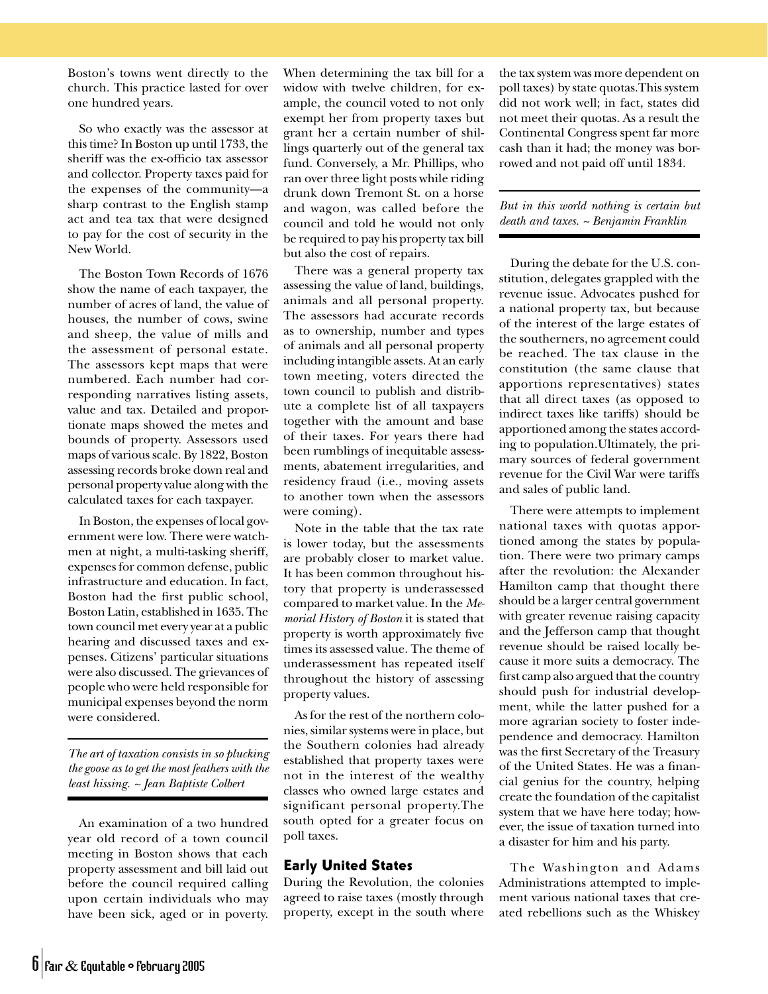Boston's towns went directly to the church. This practice lasted for over one hundred years.

So who exactly was the assessor at this time? In Boston up until 1733, the sheriff was the ex-officio tax assessor and collector. Property taxes paid for the expenses of the community—a sharp contrast to the English stamp act and tea tax that were designed to pay for the cost of security in the New World.

The Boston Town Records of 1676 show the name of each taxpayer, the number of acres of land, the value of houses, the number of cows, swine and sheep, the value of mills and the assessment of personal estate. The assessors kept maps that were numbered. Each number had corresponding narratives listing assets, value and tax. Detailed and proportionate maps showed the metes and bounds of property. Assessors used maps of various scale. By 1822, Boston assessing records broke down real and personal property value along with the calculated taxes for each taxpayer.

In Boston, the expenses of local government were low. There were watchmen at night, a multi-tasking sheriff, expenses for common defense, public infrastructure and education. In fact, Boston had the first public school, Boston Latin, established in 1635. The town council met every year at a public hearing and discussed taxes and expenses. Citizens' particular situations were also discussed. The grievances of people who were held responsible for municipal expenses beyond the norm were considered.

*The art of taxation consists in so plucking the goose as to get the most feathers with the least hissing. ~ Jean Baptiste Colbert*

An examination of a two hundred year old record of a town council meeting in Boston shows that each property assessment and bill laid out before the council required calling upon certain individuals who may have been sick, aged or in poverty.

When determining the tax bill for a widow with twelve children, for example, the council voted to not only exempt her from property taxes but grant her a certain number of shillings quarterly out of the general tax fund. Conversely, a Mr. Phillips, who ran over three light posts while riding drunk down Tremont St. on a horse and wagon, was called before the council and told he would not only be required to pay his property tax bill but also the cost of repairs.

There was a general property tax assessing the value of land, buildings, animals and all personal property. The assessors had accurate records as to ownership, number and types of animals and all personal property including intangible assets. At an early town meeting, voters directed the town council to publish and distribute a complete list of all taxpayers together with the amount and base of their taxes. For years there had been rumblings of inequitable assessments, abatement irregularities, and residency fraud (i.e., moving assets to another town when the assessors were coming).

Note in the table that the tax rate is lower today, but the assessments are probably closer to market value. It has been common throughout history that property is underassessed compared to market value. In the *Memorial History of Boston* it is stated that property is worth approximately five times its assessed value. The theme of underassessment has repeated itself throughout the history of assessing property values.

As for the rest of the northern colonies, similar systems were in place, but the Southern colonies had already established that property taxes were not in the interest of the wealthy classes who owned large estates and significant personal property.The south opted for a greater focus on poll taxes.

#### Early United States

During the Revolution, the colonies agreed to raise taxes (mostly through property, except in the south where the tax system was more dependent on poll taxes) by state quotas.This system did not work well; in fact, states did not meet their quotas. As a result the Continental Congress spent far more cash than it had; the money was borrowed and not paid off until 1834.

#### *But in this world nothing is certain but death and taxes. ~ Benjamin Franklin*

During the debate for the U.S. constitution, delegates grappled with the revenue issue. Advocates pushed for a national property tax, but because of the interest of the large estates of the southerners, no agreement could be reached. The tax clause in the constitution (the same clause that apportions representatives) states that all direct taxes (as opposed to indirect taxes like tariffs) should be apportioned among the states according to population.Ultimately, the primary sources of federal government revenue for the Civil War were tariffs and sales of public land.

There were attempts to implement national taxes with quotas apportioned among the states by population. There were two primary camps after the revolution: the Alexander Hamilton camp that thought there should be a larger central government with greater revenue raising capacity and the Jefferson camp that thought revenue should be raised locally because it more suits a democracy. The first camp also argued that the country should push for industrial development, while the latter pushed for a more agrarian society to foster independence and democracy. Hamilton was the first Secretary of the Treasury of the United States. He was a financial genius for the country, helping create the foundation of the capitalist system that we have here today; however, the issue of taxation turned into a disaster for him and his party.

The Washington and Adams Administrations attempted to implement various national taxes that created rebellions such as the Whiskey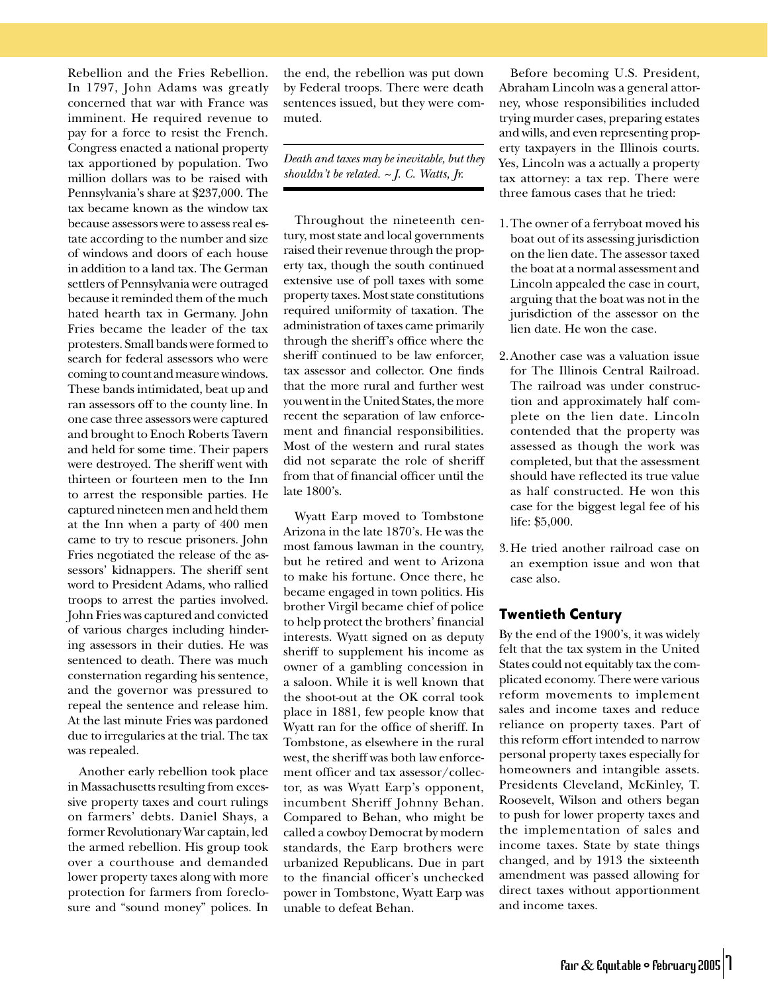Rebellion and the Fries Rebellion. In 1797, John Adams was greatly concerned that war with France was imminent. He required revenue to pay for a force to resist the French. Congress enacted a national property tax apportioned by population. Two million dollars was to be raised with Pennsylvania's share at \$237,000. The tax became known as the window tax because assessors were to assess real estate according to the number and size of windows and doors of each house in addition to a land tax. The German settlers of Pennsylvania were outraged because it reminded them of the much hated hearth tax in Germany. John Fries became the leader of the tax protesters. Small bands were formed to search for federal assessors who were coming to count and measure windows. These bands intimidated, beat up and ran assessors off to the county line. In one case three assessors were captured and brought to Enoch Roberts Tavern and held for some time. Their papers were destroyed. The sheriff went with thirteen or fourteen men to the Inn to arrest the responsible parties. He captured nineteen men and held them at the Inn when a party of 400 men came to try to rescue prisoners. John Fries negotiated the release of the assessors' kidnappers. The sheriff sent word to President Adams, who rallied troops to arrest the parties involved. John Fries was captured and convicted of various charges including hindering assessors in their duties. He was sentenced to death. There was much consternation regarding his sentence, and the governor was pressured to repeal the sentence and release him. At the last minute Fries was pardoned due to irregularies at the trial. The tax was repealed.

Another early rebellion took place in Massachusetts resulting from excessive property taxes and court rulings on farmers' debts. Daniel Shays, a former Revolutionary War captain, led the armed rebellion. His group took over a courthouse and demanded lower property taxes along with more protection for farmers from foreclosure and "sound money" polices. In

the end, the rebellion was put down by Federal troops. There were death sentences issued, but they were commuted.

*Death and taxes may be inevitable, but they shouldn't be related. ~ J. C. Watts, Jr.*

Throughout the nineteenth century, most state and local governments raised their revenue through the property tax, though the south continued extensive use of poll taxes with some property taxes. Most state constitutions required uniformity of taxation. The administration of taxes came primarily through the sheriff's office where the sheriff continued to be law enforcer, tax assessor and collector. One finds that the more rural and further west you went in the United States, the more recent the separation of law enforcement and financial responsibilities. Most of the western and rural states did not separate the role of sheriff from that of financial officer until the late 1800's.

Wyatt Earp moved to Tombstone Arizona in the late 1870's. He was the most famous lawman in the country, but he retired and went to Arizona to make his fortune. Once there, he became engaged in town politics. His brother Virgil became chief of police to help protect the brothers' financial interests. Wyatt signed on as deputy sheriff to supplement his income as owner of a gambling concession in a saloon. While it is well known that the shoot-out at the OK corral took place in 1881, few people know that Wyatt ran for the office of sheriff. In Tombstone, as elsewhere in the rural west, the sheriff was both law enforcement officer and tax assessor/collector, as was Wyatt Earp's opponent, incumbent Sheriff Johnny Behan. Compared to Behan, who might be called a cowboy Democrat by modern standards, the Earp brothers were urbanized Republicans. Due in part to the financial officer's unchecked power in Tombstone, Wyatt Earp was unable to defeat Behan.

Before becoming U.S. President, Abraham Lincoln was a general attorney, whose responsibilities included trying murder cases, preparing estates and wills, and even representing property taxpayers in the Illinois courts. Yes, Lincoln was a actually a property tax attorney: a tax rep. There were three famous cases that he tried:

- 1. The owner of a ferryboat moved his boat out of its assessing jurisdiction on the lien date. The assessor taxed the boat at a normal assessment and Lincoln appealed the case in court, arguing that the boat was not in the jurisdiction of the assessor on the lien date. He won the case.
- 2. Another case was a valuation issue for The Illinois Central Railroad. The railroad was under construction and approximately half complete on the lien date. Lincoln contended that the property was assessed as though the work was completed, but that the assessment should have reflected its true value as half constructed. He won this case for the biggest legal fee of his life: \$5,000.
- 3. He tried another railroad case on an exemption issue and won that case also.

#### Twentieth Century

By the end of the 1900's, it was widely felt that the tax system in the United States could not equitably tax the complicated economy. There were various reform movements to implement sales and income taxes and reduce reliance on property taxes. Part of this reform effort intended to narrow personal property taxes especially for homeowners and intangible assets. Presidents Cleveland, McKinley, T. Roosevelt, Wilson and others began to push for lower property taxes and the implementation of sales and income taxes. State by state things changed, and by 1913 the sixteenth amendment was passed allowing for direct taxes without apportionment and income taxes.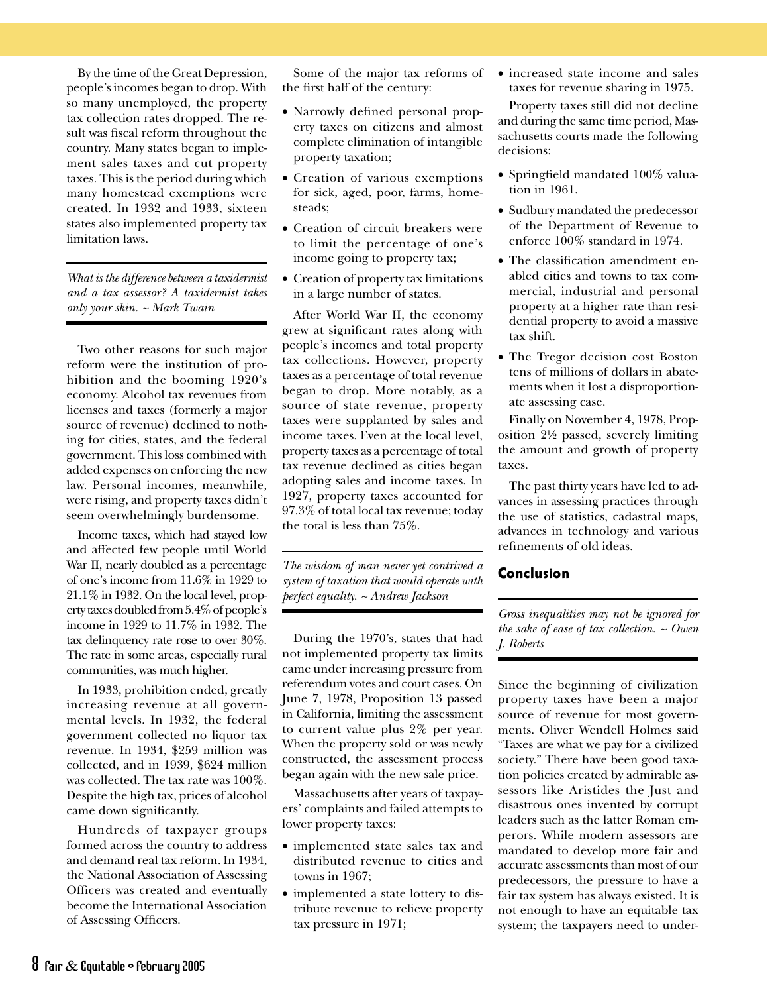By the time of the Great Depression, people's incomes began to drop. With so many unemployed, the property tax collection rates dropped. The result was fiscal reform throughout the country. Many states began to implement sales taxes and cut property taxes. This is the period during which many homestead exemptions were created. In 1932 and 1933, sixteen states also implemented property tax limitation laws.

*What is the difference between a taxidermist and a tax assessor? A taxidermist takes only your skin. ~ Mark Twain*

Two other reasons for such major reform were the institution of prohibition and the booming 1920's economy. Alcohol tax revenues from licenses and taxes (formerly a major source of revenue) declined to nothing for cities, states, and the federal government. This loss combined with added expenses on enforcing the new law. Personal incomes, meanwhile, were rising, and property taxes didn't seem overwhelmingly burdensome.

Income taxes, which had stayed low and affected few people until World War II, nearly doubled as a percentage of one's income from 11.6% in 1929 to 21.1% in 1932. On the local level, property taxes doubled from 5.4% of people's income in 1929 to 11.7% in 1932. The tax delinquency rate rose to over 30%. The rate in some areas, especially rural communities, was much higher.

In 1933, prohibition ended, greatly increasing revenue at all governmental levels. In 1932, the federal government collected no liquor tax revenue. In 1934, \$259 million was collected, and in 1939, \$624 million was collected. The tax rate was 100%. Despite the high tax, prices of alcohol came down significantly.

Hundreds of taxpayer groups formed across the country to address and demand real tax reform. In 1934, the National Association of Assessing Officers was created and eventually become the International Association of Assessing Officers.

Some of the major tax reforms of the first half of the century:

- Narrowly defined personal property taxes on citizens and almost complete elimination of intangible property taxation;
- Creation of various exemptions for sick, aged, poor, farms, homesteads;
- Creation of circuit breakers were to limit the percentage of one's income going to property tax;
- Creation of property tax limitations in a large number of states.

After World War II, the economy grew at significant rates along with people's incomes and total property tax collections. However, property taxes as a percentage of total revenue began to drop. More notably, as a source of state revenue, property taxes were supplanted by sales and income taxes. Even at the local level, property taxes as a percentage of total tax revenue declined as cities began adopting sales and income taxes. In 1927, property taxes accounted for 97.3% of total local tax revenue; today the total is less than 75%.

*The wisdom of man never yet contrived a system of taxation that would operate with perfect equality. ~ Andrew Jackson*

During the 1970's, states that had not implemented property tax limits came under increasing pressure from referendum votes and court cases. On June 7, 1978, Proposition 13 passed in California, limiting the assessment to current value plus 2% per year. When the property sold or was newly constructed, the assessment process began again with the new sale price.

Massachusetts after years of taxpayers' complaints and failed attempts to lower property taxes:

- implemented state sales tax and distributed revenue to cities and towns in 1967;
- implemented a state lottery to distribute revenue to relieve property tax pressure in 1971;

• increased state income and sales taxes for revenue sharing in 1975.

Property taxes still did not decline and during the same time period, Massachusetts courts made the following decisions:

- Springfield mandated 100% valuation in 1961.
- Sudbury mandated the predecessor of the Department of Revenue to enforce 100% standard in 1974.
- The classification amendment enabled cities and towns to tax commercial, industrial and personal property at a higher rate than residential property to avoid a massive tax shift.
- The Tregor decision cost Boston tens of millions of dollars in abatements when it lost a disproportionate assessing case.

Finally on November 4, 1978, Proposition 2½ passed, severely limiting the amount and growth of property taxes.

The past thirty years have led to advances in assessing practices through the use of statistics, cadastral maps, advances in technology and various refinements of old ideas.

#### Conclusion

*Gross inequalities may not be ignored for the sake of ease of tax collection. ~ Owen J. Roberts*

Since the beginning of civilization property taxes have been a major source of revenue for most governments. Oliver Wendell Holmes said "Taxes are what we pay for a civilized society." There have been good taxation policies created by admirable assessors like Aristides the Just and disastrous ones invented by corrupt leaders such as the latter Roman emperors. While modern assessors are mandated to develop more fair and accurate assessments than most of our predecessors, the pressure to have a fair tax system has always existed. It is not enough to have an equitable tax system; the taxpayers need to under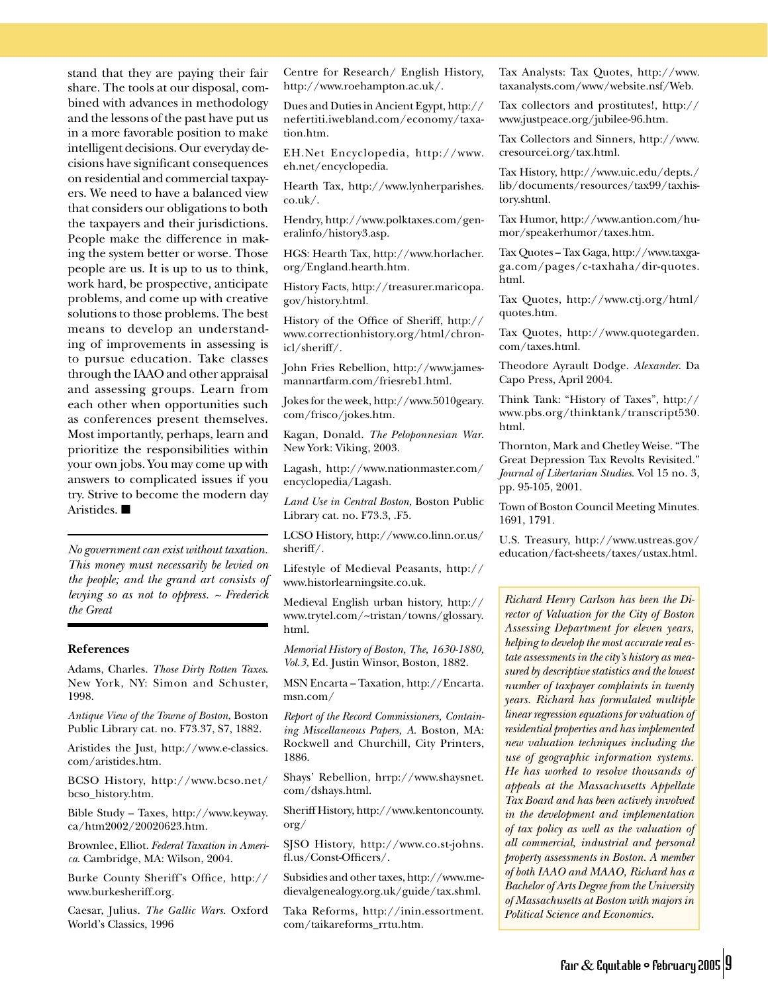stand that they are paying their fair share. The tools at our disposal, combined with advances in methodology and the lessons of the past have put us in a more favorable position to make intelligent decisions. Our everyday decisions have significant consequences on residential and commercial taxpayers. We need to have a balanced view that considers our obligations to both the taxpayers and their jurisdictions. People make the difference in making the system better or worse. Those people are us. It is up to us to think, work hard, be prospective, anticipate problems, and come up with creative solutions to those problems. The best means to develop an understanding of improvements in assessing is to pursue education. Take classes through the IAAO and other appraisal and assessing groups. Learn from each other when opportunities such as conferences present themselves. Most importantly, perhaps, learn and prioritize the responsibilities within your own jobs. You may come up with answers to complicated issues if you try. Strive to become the modern day Aristides. ■

*No government can exist without taxation. This money must necessarily be levied on the people; and the grand art consists of levying so as not to oppress. ~ Frederick the Great*

#### **References**

Adams, Charles. *Those Dirty Rotten Taxes*. New York, NY: Simon and Schuster, 1998.

*Antique View of the Towne of Boston*, Boston Public Library cat. no. F73.37, S7, 1882.

Aristides the Just, http://www.e-classics. com/aristides.htm.

BCSO History, http://www.bcso.net/ bcso\_history.htm.

Bible Study – Taxes, http://www.keyway. ca/htm2002/20020623.htm.

Brownlee, Elliot. *Federal Taxation in America*. Cambridge, MA: Wilson, 2004.

Burke County Sheriff's Office, http:// www.burkesheriff.org.

Caesar, Julius. *The Gallic Wars*. Oxford World's Classics, 1996

Centre for Research/ English History, http://www.roehampton.ac.uk/.

Dues and Duties in Ancient Egypt, http:// nefertiti.iwebland.com/economy/taxation.htm.

EH.Net Encyclopedia, http://www. eh.net/encyclopedia.

Hearth Tax, http://www.lynherparishes. co.uk/.

Hendry, http://www.polktaxes.com/generalinfo/history3.asp.

HGS: Hearth Tax, http://www.horlacher. org/England.hearth.htm.

History Facts, http://treasurer.maricopa. gov/history.html.

History of the Office of Sheriff, http:// www.correctionhistory.org/html/chronicl/sheriff/.

John Fries Rebellion, http://www.jamesmannartfarm.com/friesreb1.html.

Jokes for the week, http://www.5010geary. com/frisco/jokes.htm.

Kagan, Donald. *The Peloponnesian War*. New York: Viking, 2003.

Lagash, http://www.nationmaster.com/ encyclopedia/Lagash.

*Land Use in Central Boston*, Boston Public Library cat. no. F73.3, .F5.

LCSO History, http://www.co.linn.or.us/ sheriff/.

Lifestyle of Medieval Peasants, http:// www.historlearningsite.co.uk.

Medieval English urban history, http:// www.trytel.com/~tristan/towns/glossary. html.

*Memorial History of Boston, The, 1630-1880, Vol.3*, Ed. Justin Winsor, Boston, 1882.

MSN Encarta – Taxation, http://Encarta. msn.com/

*Report of the Record Commissioners, Containing Miscellaneous Papers, A*. Boston, MA: Rockwell and Churchill, City Printers, 1886.

Shays' Rebellion, hrrp://www.shaysnet. com/dshays.html.

Sheriff History, http://www.kentoncounty. org/

SJSO History, http://www.co.st-johns. fl.us/Const-Officers/.

Subsidies and other taxes, http://www.medievalgenealogy.org.uk/guide/tax.shml.

Taka Reforms, http://inin.essortment. com/taikareforms\_rrtu.htm.

Tax Analysts: Tax Quotes, http://www. taxanalysts.com/www/website.nsf/Web.

Tax collectors and prostitutes!, http:// www.justpeace.org/jubilee-96.htm.

Tax Collectors and Sinners, http://www. cresourcei.org/tax.html.

Tax History, http://www.uic.edu/depts./ lib/documents/resources/tax99/taxhistory.shtml.

Tax Humor, http://www.antion.com/humor/speakerhumor/taxes.htm.

Tax Quotes – Tax Gaga, http://www.taxgaga.com/pages/c-taxhaha/dir-quotes. html.

Tax Quotes, http://www.ctj.org/html/ quotes.htm.

Tax Quotes, http://www.quotegarden. com/taxes.html.

Theodore Ayrault Dodge. *Alexander*. Da Capo Press, April 2004.

Think Tank: "History of Taxes", http:// www.pbs.org/thinktank/transcript530. html.

Thornton, Mark and Chetley Weise. "The Great Depression Tax Revolts Revisited." *Journal of Libertarian Studies*. Vol 15 no. 3, pp. 95-105, 2001.

Town of Boston Council Meeting Minutes. 1691, 1791.

U.S. Treasury, http://www.ustreas.gov/ education/fact-sheets/taxes/ustax.html.

*Richard Henry Carlson has been the Director of Valuation for the City of Boston Assessing Department for eleven years, helping to develop the most accurate real estate assessments in the city's history as measured by descriptive statistics and the lowest number of taxpayer complaints in twenty years. Richard has formulated multiple linear regression equations for valuation of residential properties and has implemented new valuation techniques including the use of geographic information systems. He has worked to resolve thousands of appeals at the Massachusetts Appellate Tax Board and has been actively involved in the development and implementation of tax policy as well as the valuation of all commercial, industrial and personal property assessments in Boston. A member of both IAAO and MAAO, Richard has a Bachelor of Arts Degree from the University of Massachusetts at Boston with majors in Political Science and Economics.*